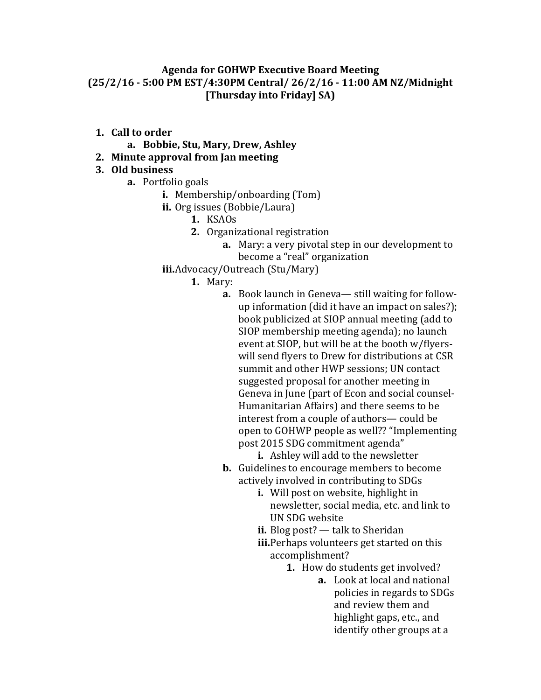## **Agenda for GOHWP Executive Board Meeting (25/2/16 - 5:00 PM EST/4:30PM Central/ 26/2/16 - 11:00 AM NZ/Midnight [Thursday into Friday] SA)**

- **1. Call to order**
	- **a. Bobbie, Stu, Mary, Drew, Ashley**
- **2. Minute approval from Jan meeting**

## **3. Old business**

- **a.** Portfolio goals
	- **i.** Membership/onboarding (Tom)
	- **ii.** Org issues (Bobbie/Laura)
		- **1.** KSAOs
		- **2.** Organizational registration
			- **a.** Mary: a very pivotal step in our development to become a "real" organization
	- **iii.**Advocacy/Outreach (Stu/Mary)
		- **1.** Mary:
			- **a.** Book launch in Geneva— still waiting for followup information (did it have an impact on sales?); book publicized at SIOP annual meeting (add to SIOP membership meeting agenda); no launch event at SIOP, but will be at the booth w/flyerswill send flyers to Drew for distributions at CSR summit and other HWP sessions; UN contact suggested proposal for another meeting in Geneva in June (part of Econ and social counsel-Humanitarian Affairs) and there seems to be interest from a couple of authors— could be open to GOHWP people as well?? "Implementing post 2015 SDG commitment agenda"

**i.** Ashley will add to the newsletter

- **b.** Guidelines to encourage members to become actively involved in contributing to SDGs
	- **i.** Will post on website, highlight in newsletter, social media, etc. and link to UN SDG website
	- **ii.** Blog post? talk to Sheridan
	- **iii.**Perhaps volunteers get started on this accomplishment?
		- **1.** How do students get involved?
			- **a.** Look at local and national policies in regards to SDGs and review them and highlight gaps, etc., and identify other groups at a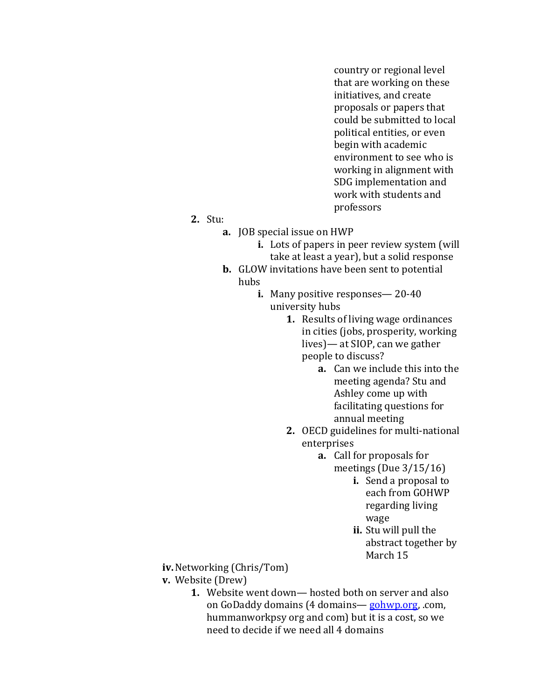country or regional level that are working on these initiatives, and create proposals or papers that could be submitted to local political entities, or even begin with academic environment to see who is working in alignment with SDG implementation and work with students and professors

## **2.** Stu:

- **a.** JOB special issue on HWP
	- **i.** Lots of papers in peer review system (will take at least a year), but a solid response
- **b.** GLOW invitations have been sent to potential hubs
	- **i.** Many positive responses— 20-40 university hubs
		- **1.** Results of living wage ordinances in cities (jobs, prosperity, working lives)— at SIOP, can we gather people to discuss?
			- **a.** Can we include this into the meeting agenda? Stu and Ashley come up with facilitating questions for annual meeting
		- **2.** OECD guidelines for multi-national enterprises
			- **a.** Call for proposals for meetings (Due 3/15/16)
				- **i.** Send a proposal to each from GOHWP regarding living wage
				- **ii.** Stu will pull the abstract together by March 15

**iv.**Networking (Chris/Tom)

- **v.** Website (Drew)
	- **1.** Website went down— hosted both on server and also on GoDaddy domains (4 domains— [gohwp.org,](http://gohwp.org/) .com, hummanworkpsy org and com) but it is a cost, so we need to decide if we need all 4 domains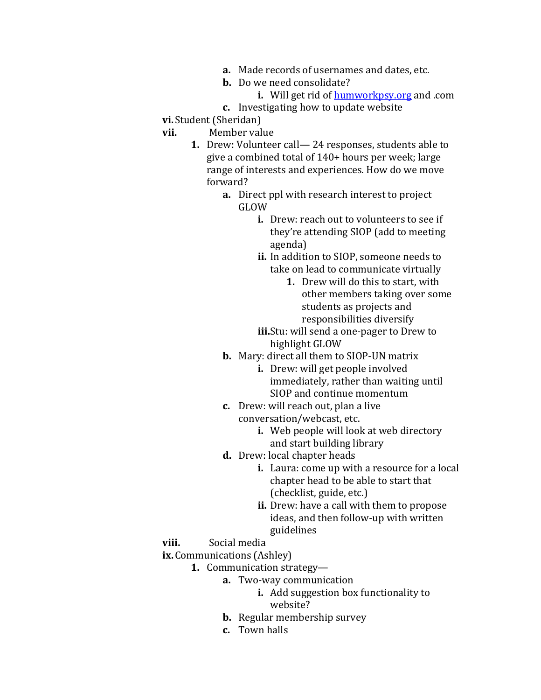- **a.** Made records of usernames and dates, etc.
- **b.** Do we need consolidate?
	- **i.** Will get rid of **[humworkpsy.org](http://humworkpsy.org/)** and .com
- **c.** Investigating how to update website
- **vi.**Student (Sheridan)
- **vii.** Member value
	- **1.** Drew: Volunteer call— 24 responses, students able to give a combined total of 140+ hours per week; large range of interests and experiences. How do we move forward?
		- **a.** Direct ppl with research interest to project GLOW
			- **i.** Drew: reach out to volunteers to see if they're attending SIOP (add to meeting agenda)
			- **ii.** In addition to SIOP, someone needs to take on lead to communicate virtually
				- **1.** Drew will do this to start, with other members taking over some students as projects and responsibilities diversify
			- **iii.**Stu: will send a one-pager to Drew to highlight GLOW
		- **b.** Mary: direct all them to SIOP-UN matrix
			- **i.** Drew: will get people involved immediately, rather than waiting until SIOP and continue momentum
		- **c.** Drew: will reach out, plan a live conversation/webcast, etc.
			- **i.** Web people will look at web directory and start building library
		- **d.** Drew: local chapter heads
			- **i.** Laura: come up with a resource for a local chapter head to be able to start that (checklist, guide, etc.)
			- **ii.** Drew: have a call with them to propose ideas, and then follow-up with written guidelines
- **viii.** Social media
- **ix.**Communications (Ashley)
	- **1.** Communication strategy
		- **a.** Two-way communication
			- **i.** Add suggestion box functionality to website?
		- **b.** Regular membership survey
		- **c.** Town halls